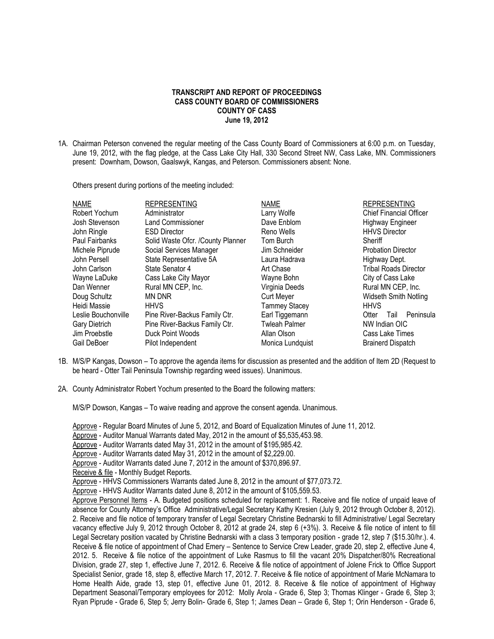## **TRANSCRIPT AND REPORT OF PROCEEDINGS CASS COUNTY BOARD OF COMMISSIONERS COUNTY OF CASS June 19, 2012**

1A. Chairman Peterson convened the regular meeting of the Cass County Board of Commissioners at 6:00 p.m. on Tuesday, June 19, 2012, with the flag pledge, at the Cass Lake City Hall, 330 Second Street NW, Cass Lake, MN. Commissioners present: Downham, Dowson, Gaalswyk, Kangas, and Peterson. Commissioners absent: None.

Others present during portions of the meeting included:

| <b>NAME</b>         | <b>REPRESENTING</b>               | <b>NAME</b>          | <b>REPRESENTING</b>            |
|---------------------|-----------------------------------|----------------------|--------------------------------|
| Robert Yochum       | Administrator                     | Larry Wolfe          | <b>Chief Financial Officer</b> |
| Josh Stevenson      | <b>Land Commissioner</b>          | Dave Enblom          | Highway Engineer               |
| John Ringle         | <b>ESD Director</b>               | Reno Wells           | <b>HHVS Director</b>           |
| Paul Fairbanks      | Solid Waste Ofcr. /County Planner | Tom Burch            | Sheriff                        |
| Michele Piprude     | Social Services Manager           | Jim Schneider        | <b>Probation Director</b>      |
| John Persell        | State Representative 5A           | Laura Hadrava        | Highway Dept.                  |
| John Carlson        | State Senator 4                   | Art Chase            | <b>Tribal Roads Director</b>   |
| Wayne LaDuke        | Cass Lake City Mayor              | Wayne Bohn           | City of Cass Lake              |
| Dan Wenner          | Rural MN CEP, Inc.                | Virginia Deeds       | Rural MN CEP, Inc.             |
| Doug Schultz        | MN DNR                            | <b>Curt Meyer</b>    | Widseth Smith Notling          |
| Heidi Massie        | <b>HHVS</b>                       | Tammey Stacey        | <b>HHVS</b>                    |
| Leslie Bouchonville | Pine River-Backus Family Ctr.     | Earl Tiggemann       | Peninsula<br>Otter<br>Tail     |
| Gary Dietrich       | Pine River-Backus Family Ctr.     | <b>Twleah Palmer</b> | NW Indian OIC                  |
| Jim Proebstle       | Duck Point Woods                  | Allan Olson          | Cass Lake Times                |
| Gail DeBoer         | Pilot Independent                 | Monica Lundquist     | <b>Brainerd Dispatch</b>       |
|                     |                                   |                      |                                |

- 1B. M/S/P Kangas, Dowson To approve the agenda items for discussion as presented and the addition of Item 2D (Request to be heard - Otter Tail Peninsula Township regarding weed issues). Unanimous.
- 2A. County Administrator Robert Yochum presented to the Board the following matters:

M/S/P Dowson, Kangas – To waive reading and approve the consent agenda. Unanimous.

Approve - Regular Board Minutes of June 5, 2012, and Board of Equalization Minutes of June 11, 2012.

Approve - Auditor Manual Warrants dated May, 2012 in the amount of \$5,535,453.98.

Approve - Auditor Warrants dated May 31, 2012 in the amount of \$195,985.42.

Approve - Auditor Warrants dated May 31, 2012 in the amount of \$2,229.00.

Approve - Auditor Warrants dated June 7, 2012 in the amount of \$370,896.97.

Receive & file - Monthly Budget Reports.

Approve - HHVS Commissioners Warrants dated June 8, 2012 in the amount of \$77,073.72.

Approve - HHVS Auditor Warrants dated June 8, 2012 in the amount of \$105,559.53.

Approve Personnel Items - A. Budgeted positions scheduled for replacement: 1. Receive and file notice of unpaid leave of absence for County Attorney's Office Administrative/Legal Secretary Kathy Kresien (July 9, 2012 through October 8, 2012). 2. Receive and file notice of temporary transfer of Legal Secretary Christine Bednarski to fill Administrative/ Legal Secretary vacancy effective July 9, 2012 through October 8, 2012 at grade 24, step 6 (+3%). 3. Receive & file notice of intent to fill Legal Secretary position vacated by Christine Bednarski with a class 3 temporary position - grade 12, step 7 (\$15.30/hr.). 4. Receive & file notice of appointment of Chad Emery – Sentence to Service Crew Leader, grade 20, step 2, effective June 4, 2012. 5. Receive & file notice of the appointment of Luke Rasmus to fill the vacant 20% Dispatcher/80% Recreational Division, grade 27, step 1, effective June 7, 2012. 6. Receive & file notice of appointment of Jolene Frick to Office Support Specialist Senior, grade 18, step 8, effective March 17, 2012. 7. Receive & file notice of appointment of Marie McNamara to Home Health Aide, grade 13, step 01, effective June 01, 2012. 8. Receive & file notice of appointment of Highway Department Seasonal/Temporary employees for 2012: Molly Arola - Grade 6, Step 3; Thomas Klinger - Grade 6, Step 3; Ryan Piprude - Grade 6, Step 5; Jerry Bolin- Grade 6, Step 1; James Dean – Grade 6, Step 1; Orin Henderson - Grade 6,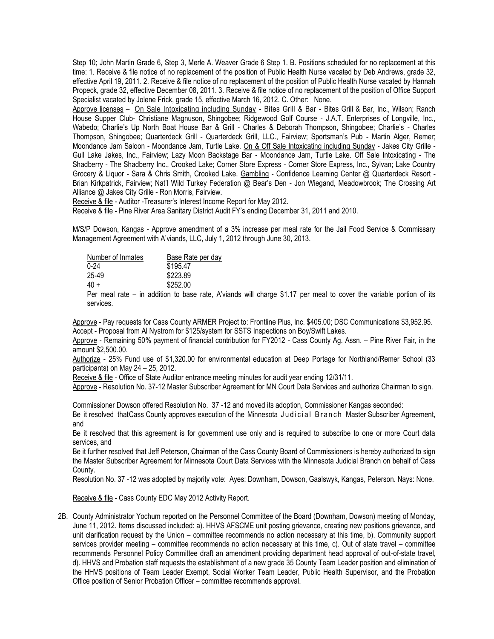Step 10; John Martin Grade 6, Step 3, Merle A. Weaver Grade 6 Step 1. B. Positions scheduled for no replacement at this time: 1. Receive & file notice of no replacement of the position of Public Health Nurse vacated by Deb Andrews, grade 32, effective April 19, 2011. 2. Receive & file notice of no replacement of the position of Public Health Nurse vacated by Hannah Propeck, grade 32, effective December 08, 2011. 3. Receive & file notice of no replacement of the position of Office Support Specialist vacated by Jolene Frick, grade 15, effective March 16, 2012. C. Other: None.

Approve licenses – On Sale Intoxicating including Sunday - Bites Grill & Bar - Bites Grill & Bar, Inc., Wilson; Ranch House Supper Club- Christiane Magnuson, Shingobee; Ridgewood Golf Course - J.A.T. Enterprises of Longville, Inc., Wabedo; Charlie's Up North Boat House Bar & Grill - Charles & Deborah Thompson, Shingobee; Charlie's - Charles Thompson, Shingobee; Quarterdeck Grill - Quarterdeck Grill, LLC., Fairview; Sportsman's Pub - Martin Alger, Remer; Moondance Jam Saloon - Moondance Jam, Turtle Lake. On & Off Sale Intoxicating including Sunday - Jakes City Grille -Gull Lake Jakes, Inc., Fairview; Lazy Moon Backstage Bar - Moondance Jam, Turtle Lake. Off Sale Intoxicating - The Shadberry - The Shadberry Inc., Crooked Lake; Corner Store Express - Corner Store Express, Inc., Sylvan; Lake Country Grocery & Liquor - Sara & Chris Smith, Crooked Lake. Gambling - Confidence Learning Center @ Quarterdeck Resort - Brian Kirkpatrick, Fairview; Nat'l Wild Turkey Federation @ Bear's Den - Jon Wiegand, Meadowbrook; The Crossing Art Alliance @ Jakes City Grille - Ron Morris, Fairview.

Receive & file - Auditor -Treasurer's Interest Income Report for May 2012.

Receive & file - Pine River Area Sanitary District Audit FY's ending December 31, 2011 and 2010.

M/S/P Dowson, Kangas - Approve amendment of a 3% increase per meal rate for the Jail Food Service & Commissary Management Agreement with A'viands, LLC, July 1, 2012 through June 30, 2013.

| Base Rate per day |  |
|-------------------|--|
| \$195.47          |  |
| \$223.89          |  |
| \$252.00          |  |
|                   |  |

Per meal rate – in addition to base rate, A'viands will charge \$1.17 per meal to cover the variable portion of its services.

Approve - Pay requests for Cass County ARMER Project to: Frontline Plus, Inc. \$405.00; DSC Communications \$3,952.95. Accept - Proposal from Al Nystrom for \$125/system for SSTS Inspections on Boy/Swift Lakes.

Approve - Remaining 50% payment of financial contribution for FY2012 - Cass County Ag. Assn. – Pine River Fair, in the amount \$2,500.00.

Authorize - 25% Fund use of \$1,320.00 for environmental education at Deep Portage for Northland/Remer School (33 participants) on May 24 – 25, 2012.

Receive & file - Office of State Auditor entrance meeting minutes for audit year ending 12/31/11.

Approve - Resolution No. 37-12 Master Subscriber Agreement for MN Court Data Services and authorize Chairman to sign.

Commissioner Dowson offered Resolution No. 37 -12 and moved its adoption, Commissioner Kangas seconded: Be it resolved that Cass County approves execution of the Minnesota Judicial Branch Master Subscriber Agreement, and

Be it resolved that this agreement is for government use only and is required to subscribe to one or more Court data services, and

Be it further resolved that Jeff Peterson, Chairman of the Cass County Board of Commissioners is hereby authorized to sign the Master Subscriber Agreement for Minnesota Court Data Services with the Minnesota Judicial Branch on behalf of Cass County.

Resolution No. 37 -12 was adopted by majority vote: Ayes: Downham, Dowson, Gaalswyk, Kangas, Peterson. Nays: None.

Receive & file - Cass County EDC May 2012 Activity Report.

2B. County Administrator Yochum reported on the Personnel Committee of the Board (Downham, Dowson) meeting of Monday, June 11, 2012. Items discussed included: a). HHVS AFSCME unit posting grievance, creating new positions grievance, and unit clarification request by the Union – committee recommends no action necessary at this time, b). Community support services provider meeting – committee recommends no action necessary at this time, c). Out of state travel – committee recommends Personnel Policy Committee draft an amendment providing department head approval of out-of-state travel, d). HHVS and Probation staff requests the establishment of a new grade 35 County Team Leader position and elimination of the HHVS positions of Team Leader Exempt, Social Worker Team Leader, Public Health Supervisor, and the Probation Office position of Senior Probation Officer – committee recommends approval.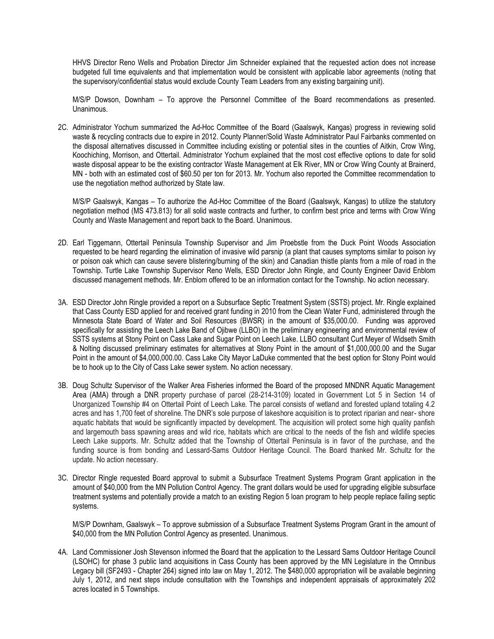HHVS Director Reno Wells and Probation Director Jim Schneider explained that the requested action does not increase budgeted full time equivalents and that implementation would be consistent with applicable labor agreements (noting that the supervisory/confidential status would exclude County Team Leaders from any existing bargaining unit).

M/S/P Dowson, Downham – To approve the Personnel Committee of the Board recommendations as presented. Unanimous.

2C. Administrator Yochum summarized the Ad-Hoc Committee of the Board (Gaalswyk, Kangas) progress in reviewing solid waste & recycling contracts due to expire in 2012. County Planner/Solid Waste Administrator Paul Fairbanks commented on the disposal alternatives discussed in Committee including existing or potential sites in the counties of Aitkin, Crow Wing, Koochiching, Morrison, and Ottertail. Administrator Yochum explained that the most cost effective options to date for solid waste disposal appear to be the existing contractor Waste Management at Elk River, MN or Crow Wing County at Brainerd, MN - both with an estimated cost of \$60.50 per ton for 2013. Mr. Yochum also reported the Committee recommendation to use the negotiation method authorized by State law.

M/S/P Gaalswyk, Kangas – To authorize the Ad-Hoc Committee of the Board (Gaalswyk, Kangas) to utilize the statutory negotiation method (MS 473.813) for all solid waste contracts and further, to confirm best price and terms with Crow Wing County and Waste Management and report back to the Board. Unanimous.

- 2D. Earl Tiggemann, Ottertail Peninsula Township Supervisor and Jim Proebstle from the Duck Point Woods Association requested to be heard regarding the elimination of invasive wild parsnip (a plant that causes symptoms similar to poison ivy or poison oak which can cause severe blistering/burning of the skin) and Canadian thistle plants from a mile of road in the Township. Turtle Lake Township Supervisor Reno Wells, ESD Director John Ringle, and County Engineer David Enblom discussed management methods. Mr. Enblom offered to be an information contact for the Township. No action necessary.
- 3A. ESD Director John Ringle provided a report on a Subsurface Septic Treatment System (SSTS) project. Mr. Ringle explained that Cass County ESD applied for and received grant funding in 2010 from the Clean Water Fund, administered through the Minnesota State Board of Water and Soil Resources (BWSR) in the amount of \$35,000.00. Funding was approved specifically for assisting the Leech Lake Band of Ojibwe (LLBO) in the preliminary engineering and environmental review of SSTS systems at Stony Point on Cass Lake and Sugar Point on Leech Lake. LLBO consultant Curt Meyer of Widseth Smith & Nolting discussed preliminary estimates for alternatives at Stony Point in the amount of \$1,000,000.00 and the Sugar Point in the amount of \$4,000,000.00. Cass Lake City Mayor LaDuke commented that the best option for Stony Point would be to hook up to the City of Cass Lake sewer system. No action necessary.
- 3B. Doug Schultz Supervisor of the Walker Area Fisheries informed the Board of the proposed MNDNR Aquatic Management Area (AMA) through a DNR property purchase of parcel (28-214-3109) located in Government Lot 5 in Section 14 of Unorganized Township #4 on Ottertail Point of Leech Lake. The parcel consists of wetland and forested upland totaling 4.2 acres and has 1,700 feet of shoreline. The DNR's sole purpose of lakeshore acquisition is to protect riparian and near- shore aquatic habitats that would be significantly impacted by development. The acquisition will protect some high quality panfish and largemouth bass spawning areas and wild rice, habitats which are critical to the needs of the fish and wildlife species Leech Lake supports. Mr. Schultz added that the Township of Ottertail Peninsula is in favor of the purchase, and the funding source is from bonding and Lessard-Sams Outdoor Heritage Council. The Board thanked Mr. Schultz for the update. No action necessary.
- 3C. Director Ringle requested Board approval to submit a Subsurface Treatment Systems Program Grant application in the amount of \$40,000 from the MN Pollution Control Agency. The grant dollars would be used for upgrading eligible subsurface treatment systems and potentially provide a match to an existing Region 5 loan program to help people replace failing septic systems.

M/S/P Downham, Gaalswyk – To approve submission of a Subsurface Treatment Systems Program Grant in the amount of \$40,000 from the MN Pollution Control Agency as presented. Unanimous.

4A. Land Commissioner Josh Stevenson informed the Board that the application to the Lessard Sams Outdoor Heritage Council (LSOHC) for phase 3 public land acquisitions in Cass County has been approved by the MN Legislature in the Omnibus Legacy bill (SF2493 - Chapter 264) signed into law on May 1, 2012. The \$480,000 appropriation will be available beginning July 1, 2012, and next steps include consultation with the Townships and independent appraisals of approximately 202 acres located in 5 Townships.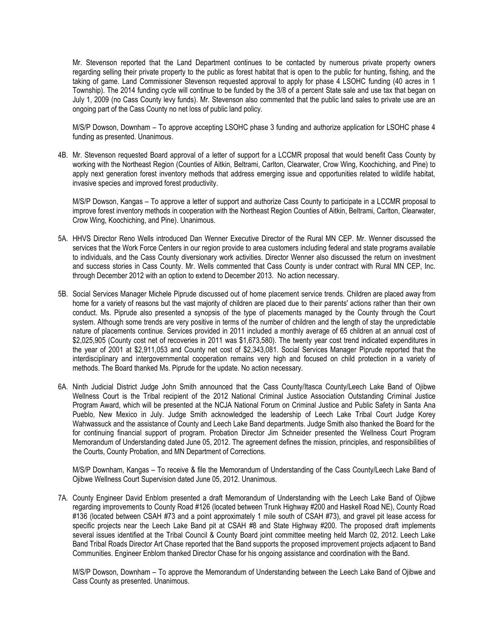Mr. Stevenson reported that the Land Department continues to be contacted by numerous private property owners regarding selling their private property to the public as forest habitat that is open to the public for hunting, fishing, and the taking of game. Land Commissioner Stevenson requested approval to apply for phase 4 LSOHC funding (40 acres in 1 Township). The 2014 funding cycle will continue to be funded by the 3/8 of a percent State sale and use tax that began on July 1, 2009 (no Cass County levy funds). Mr. Stevenson also commented that the public land sales to private use are an ongoing part of the Cass County no net loss of public land policy.

M/S/P Dowson, Downham – To approve accepting LSOHC phase 3 funding and authorize application for LSOHC phase 4 funding as presented. Unanimous.

4B. Mr. Stevenson requested Board approval of a letter of support for a LCCMR proposal that would benefit Cass County by working with the Northeast Region (Counties of Aitkin, Beltrami, Carlton, Clearwater, Crow Wing, Koochiching, and Pine) to apply next generation forest inventory methods that address emerging issue and opportunities related to wildlife habitat, invasive species and improved forest productivity.

M/S/P Dowson, Kangas – To approve a letter of support and authorize Cass County to participate in a LCCMR proposal to improve forest inventory methods in cooperation with the Northeast Region Counties of Aitkin, Beltrami, Carlton, Clearwater, Crow Wing, Koochiching, and Pine). Unanimous.

- 5A. HHVS Director Reno Wells introduced Dan Wenner Executive Director of the Rural MN CEP. Mr. Wenner discussed the services that the Work Force Centers in our region provide to area customers including federal and state programs available to individuals, and the Cass County diversionary work activities. Director Wenner also discussed the return on investment and success stories in Cass County. Mr. Wells commented that Cass County is under contract with Rural MN CEP, Inc. through December 2012 with an option to extend to December 2013. No action necessary.
- 5B. Social Services Manager Michele Piprude discussed out of home placement service trends. Children are placed away from home for a variety of reasons but the vast majority of children are placed due to their parents' actions rather than their own conduct. Ms. Piprude also presented a synopsis of the type of placements managed by the County through the Court system. Although some trends are very positive in terms of the number of children and the length of stay the unpredictable nature of placements continue. Services provided in 2011 included a monthly average of 65 children at an annual cost of \$2,025,905 (County cost net of recoveries in 2011 was \$1,673,580). The twenty year cost trend indicated expenditures in the year of 2001 at \$2,911,053 and County net cost of \$2,343,081. Social Services Manager Piprude reported that the interdisciplinary and intergovernmental cooperation remains very high and focused on child protection in a variety of methods. The Board thanked Ms. Piprude for the update. No action necessary.
- 6A. Ninth Judicial District Judge John Smith announced that the Cass County/Itasca County/Leech Lake Band of Ojibwe Wellness Court is the Tribal recipient of the 2012 National Criminal Justice Association Outstanding Criminal Justice Program Award, which will be presented at the NCJA National Forum on Criminal Justice and Public Safety in Santa Ana Pueblo, New Mexico in July. Judge Smith acknowledged the leadership of Leech Lake Tribal Court Judge Korey Wahwassuck and the assistance of County and Leech Lake Band departments. Judge Smith also thanked the Board for the for continuing financial support of program. Probation Director Jim Schneider presented the Wellness Court Program Memorandum of Understanding dated June 05, 2012. The agreement defines the mission, principles, and responsibilities of the Courts, County Probation, and MN Department of Corrections.

M/S/P Downham, Kangas – To receive & file the Memorandum of Understanding of the Cass County/Leech Lake Band of Ojibwe Wellness Court Supervision dated June 05, 2012. Unanimous.

7A. County Engineer David Enblom presented a draft Memorandum of Understanding with the Leech Lake Band of Ojibwe regarding improvements to County Road #126 (located between Trunk Highway #200 and Haskell Road NE), County Road #136 (located between CSAH #73 and a point approximately 1 mile south of CSAH #73), and gravel pit lease access for specific projects near the Leech Lake Band pit at CSAH #8 and State Highway #200. The proposed draft implements several issues identified at the Tribal Council & County Board joint committee meeting held March 02, 2012. Leech Lake Band Tribal Roads Director Art Chase reported that the Band supports the proposed improvement projects adjacent to Band Communities. Engineer Enblom thanked Director Chase for his ongoing assistance and coordination with the Band.

M/S/P Dowson, Downham – To approve the Memorandum of Understanding between the Leech Lake Band of Ojibwe and Cass County as presented. Unanimous.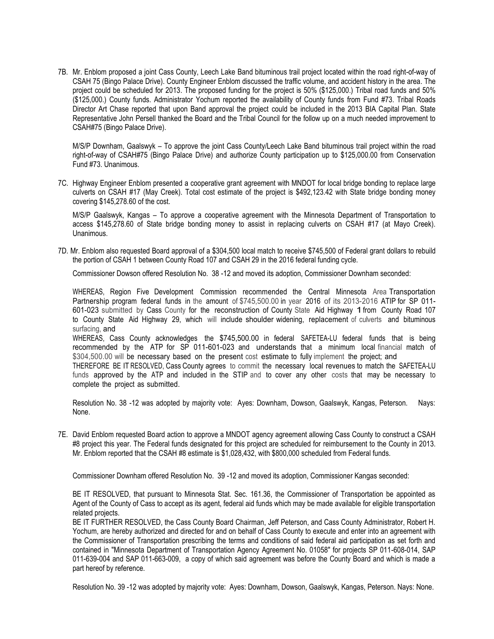7B. Mr. Enblom proposed a joint Cass County, Leech Lake Band bituminous trail project located within the road right-of-way of CSAH 75 (Bingo Palace Drive). County Engineer Enblom discussed the traffic volume, and accident history in the area. The project could be scheduled for 2013. The proposed funding for the project is 50% (\$125,000.) Tribal road funds and 50% (\$125,000.) County funds. Administrator Yochum reported the availability of County funds from Fund #73. Tribal Roads Director Art Chase reported that upon Band approval the project could be included in the 2013 BIA Capital Plan. State Representative John Persell thanked the Board and the Tribal Council for the follow up on a much needed improvement to CSAH#75 (Bingo Palace Drive).

M/S/P Downham, Gaalswyk – To approve the joint Cass County/Leech Lake Band bituminous trail project within the road right-of-way of CSAH#75 (Bingo Palace Drive) and authorize County participation up to \$125,000.00 from Conservation Fund #73. Unanimous.

7C. Highway Engineer Enblom presented a cooperative grant agreement with MNDOT for local bridge bonding to replace large culverts on CSAH #17 (May Creek). Total cost estimate of the project is \$492,123.42 with State bridge bonding money covering \$145,278.60 of the cost.

M/S/P Gaalswyk, Kangas – To approve a cooperative agreement with the Minnesota Department of Transportation to access \$145,278.60 of State bridge bonding money to assist in replacing culverts on CSAH #17 (at Mayo Creek). **Unanimous** 

7D. Mr. Enblom also requested Board approval of a \$304,500 local match to receive \$745,500 of Federal grant dollars to rebuild the portion of CSAH 1 between County Road 107 and CSAH 29 in the 2016 federal funding cycle.

Commissioner Dowson offered Resolution No. 38 -12 and moved its adoption, Commissioner Downham seconded:

WHEREAS, Region Five Development Commission recommended the Central Minnesota Area Transportation Partnership program federal funds in the amount of \$745,500.00 in year 2016 of its 2013-2016 ATIP for SP 011-601-023 submitted by Cass County for the reconstruction of County State Aid Highway 1from County Road <sup>107</sup> to County State Aid Highway 29, which will include shoulder widening, replacement of culverts and bituminous surfacing, and

WHEREAS, Cass County acknowledges the \$745,500.00 in federal SAFETEA-LU federal funds that is being recommended by the ATP for SP 011-601-023 and understands that a minimum local financial match of \$304,500.00 will be necessary based on the present cost estimate to fully implement the project; and

THEREFORE BE IT RESOLVED, Cass County agrees to commit the necessary local revenues to match the SAFETEA-LU funds approved by the ATP and included in the STIP and to cover any other costs that may be necessary to complete the project as submitted.

Resolution No. 38 -12 was adopted by majority vote: Ayes: Downham, Dowson, Gaalswyk, Kangas, Peterson. Nays: None.

7E. David Enblom requested Board action to approve a MNDOT agency agreement allowing Cass County to construct a CSAH #8 project this year. The Federal funds designated for this project are scheduled for reimbursement to the County in 2013. Mr. Enblom reported that the CSAH #8 estimate is \$1,028,432, with \$800,000 scheduled from Federal funds.

Commissioner Downham offered Resolution No. 39 -12 and moved its adoption, Commissioner Kangas seconded:

BE IT RESOLVED, that pursuant to Minnesota Stat. Sec. 161.36, the Commissioner of Transportation be appointed as Agent of the County of Cass to accept as its agent, federal aid funds which may be made available for eligible transportation related projects.

BE IT FURTHER RESOLVED, the Cass County Board Chairman, Jeff Peterson, and Cass County Administrator, Robert H. Yochum, are hereby authorized and directed for and on behalf of Cass County to execute and enter into an agreement with the Commissioner of Transportation prescribing the terms and conditions of said federal aid participation as set forth and contained in "Minnesota Department of Transportation Agency Agreement No. 01058" for projects SP 011-608-014, SAP 011-639-004 and SAP 011-663-009, a copy of which said agreement was before the County Board and which is made a part hereof by reference.

Resolution No. 39 -12 was adopted by majority vote: Ayes: Downham, Dowson, Gaalswyk, Kangas, Peterson. Nays: None.